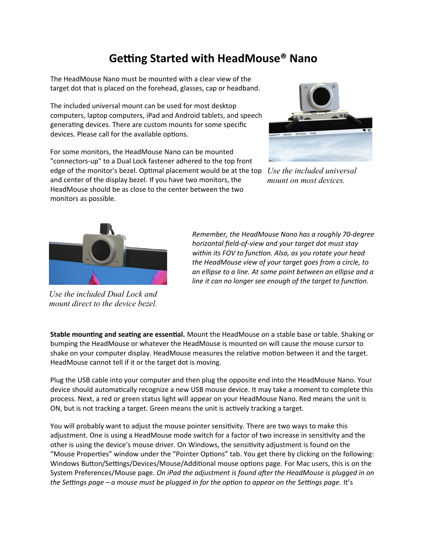## **Getting Started with HeadMouse® Nano**

The HeadMouse Nano must be mounted with a clear view of the target dot that is placed on the forehead, glasses, cap or headband.

The included universal mount can be used for most desktop computers, laptop computers, iPad and Android tablets, and speech generating devices. There are custom mounts for some specific devices. Please call for the available options.

For some monitors, the HeadMouse Nano can be mounted "connectors-up" to a Dual Lock fastener adhered to the top front edge of the monitor's bezel. Optimal placement would be at the top *Use the included universal*  and center of the display bezel. If you have two monitors, the HeadMouse should be as close to the center between the two monitors as possible.



*mount on most devices.*



*Use the included Dual Lock and mount direct to the device bezel.*

*Remember, the HeadMouse Nano has a roughly 70-degree horizontal field-of-view and your target dot must stay within its FOV to function. Also, as you rotate your head the HeadMouse view of your target goes from a circle, to an ellipse to a line. At some point between an ellipse and a line it can no longer see enough of the target to function.*

**Stable mounting and seating are essential.** Mount the HeadMouse on a stable base or table. Shaking or bumping the HeadMouse or whatever the HeadMouse is mounted on will cause the mouse cursor to shake on your computer display. HeadMouse measures the relative motion between it and the target. HeadMouse cannot tell if it or the target dot is moving.

Plug the USB cable into your computer and then plug the opposite end into the HeadMouse Nano. Your device should automatically recognize a new USB mouse device. It may take a moment to complete this process. Next, a red or green status light will appear on your HeadMouse Nano. Red means the unit is ON, but is not tracking a target. Green means the unit is actively tracking a target.

You will probably want to adjust the mouse pointer sensitivity. There are two ways to make this adjustment. One is using a HeadMouse mode switch for a factor of two increase in sensitivity and the other is using the device's mouse driver. On Windows, the sensitivity adjustment is found on the "Mouse Properties" window under the "Pointer Options" tab. You get there by clicking on the following: Windows Button/Settings/Devices/Mouse/Additional mouse options page. For Mac users, this is on the System Preferences/Mouse page. *On iPad the adjustment is found after the HeadMouse is plugged in on the Settings page – a mouse must be plugged in for the option to appear on the Settings page.* It's